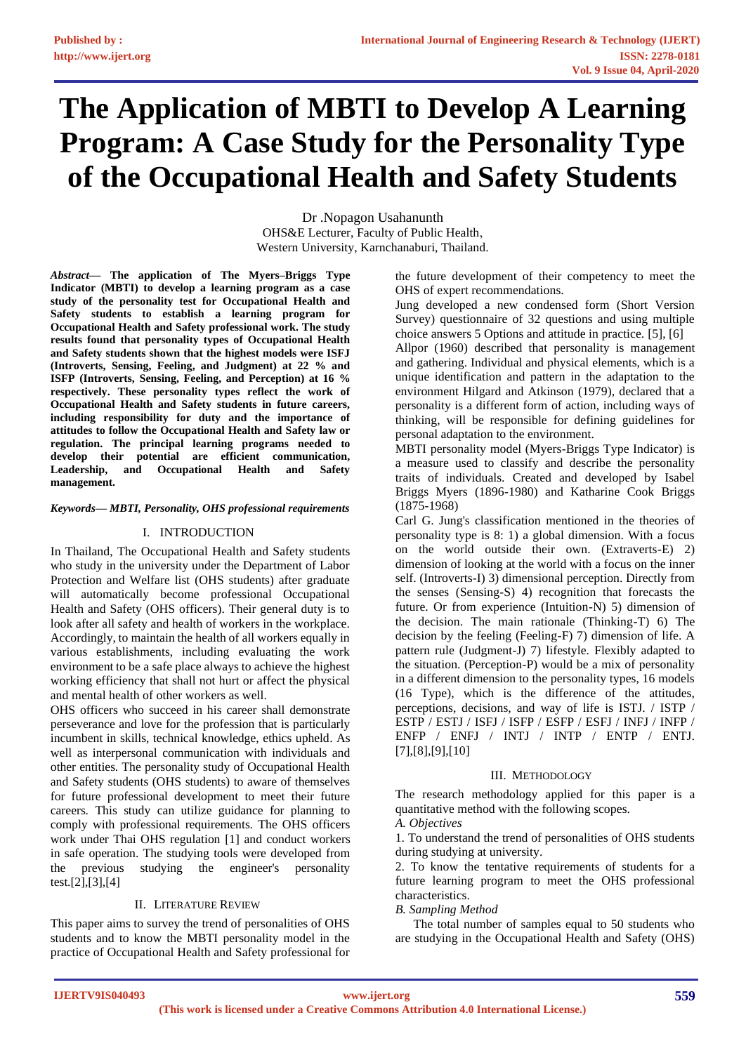# **The Application of MBTI to Develop A Learning Program: A Case Study for the Personality Type of the Occupational Health and Safety Students**

Dr .Nopagon Usahanunth OHS&E Lecturer, Faculty of Public Health, Western University, Karnchanaburi, Thailand.

*Abstract***— The application of The Myers–Briggs Type Indicator (MBTI) to develop a learning program as a case study of the personality test for Occupational Health and Safety students to establish a learning program for Occupational Health and Safety professional work. The study results found that personality types of Occupational Health and Safety students shown that the highest models were ISFJ (Introverts, Sensing, Feeling, and Judgment) at 22 % and ISFP (Introverts, Sensing, Feeling, and Perception) at 16 % respectively. These personality types reflect the work of Occupational Health and Safety students in future careers, including responsibility for duty and the importance of attitudes to follow the Occupational Health and Safety law or regulation. The principal learning programs needed to develop their potential are efficient communication, Leadership, and Occupational Health and Safety management.**

#### *Keywords— MBTI, Personality, OHS professional requirements*

# I. INTRODUCTION

In Thailand, The Occupational Health and Safety students who study in the university under the Department of Labor Protection and Welfare list (OHS students) after graduate will automatically become professional Occupational Health and Safety (OHS officers). Their general duty is to look after all safety and health of workers in the workplace. Accordingly, to maintain the health of all workers equally in various establishments, including evaluating the work environment to be a safe place always to achieve the highest working efficiency that shall not hurt or affect the physical and mental health of other workers as well.

OHS officers who succeed in his career shall demonstrate perseverance and love for the profession that is particularly incumbent in skills, technical knowledge, ethics upheld. As well as interpersonal communication with individuals and other entities. The personality study of Occupational Health and Safety students (OHS students) to aware of themselves for future professional development to meet their future careers. This study can utilize guidance for planning to comply with professional requirements. The OHS officers work under Thai OHS regulation [1] and conduct workers in safe operation. The studying tools were developed from the previous studying the engineer's personality test.[2],[3],[4]

# II. LITERATURE REVIEW

This paper aims to survey the trend of personalities of OHS students and to know the MBTI personality model in the practice of Occupational Health and Safety professional for the future development of their competency to meet the OHS of expert recommendations.

Jung developed a new condensed form (Short Version Survey) questionnaire of 32 questions and using multiple choice answers 5 Options and attitude in practice. [5], [6]

Allpor (1960) described that personality is management and gathering. Individual and physical elements, which is a unique identification and pattern in the adaptation to the environment Hilgard and Atkinson (1979), declared that a personality is a different form of action, including ways of thinking, will be responsible for defining guidelines for personal adaptation to the environment.

MBTI personality model (Myers-Briggs Type Indicator) is a measure used to classify and describe the personality traits of individuals. Created and developed by Isabel Briggs Myers (1896-1980) and Katharine Cook Briggs (1875-1968)

Carl G. Jung's classification mentioned in the theories of personality type is 8: 1) a global dimension. With a focus on the world outside their own. (Extraverts-E) 2) dimension of looking at the world with a focus on the inner self. (Introverts-I) 3) dimensional perception. Directly from the senses (Sensing-S) 4) recognition that forecasts the future. Or from experience (Intuition-N) 5) dimension of the decision. The main rationale (Thinking-T) 6) The decision by the feeling (Feeling-F) 7) dimension of life. A pattern rule (Judgment-J) 7) lifestyle. Flexibly adapted to the situation. (Perception-P) would be a mix of personality in a different dimension to the personality types, 16 models (16 Type), which is the difference of the attitudes, perceptions, decisions, and way of life is ISTJ. / ISTP / ESTP / ESTJ / ISFJ / ISFP / ESFP / ESFJ / INFJ / INFP / ENFP / ENFJ / INTJ / INTP / ENTP / ENTJ. [7],[8],[9],[10]

# III. METHODOLOGY

The research methodology applied for this paper is a quantitative method with the following scopes.

*A. Objectives*

1. To understand the trend of personalities of OHS students during studying at university.

2. To know the tentative requirements of students for a future learning program to meet the OHS professional characteristics.

# *B. Sampling Method*

The total number of samples equal to 50 students who are studying in the Occupational Health and Safety (OHS)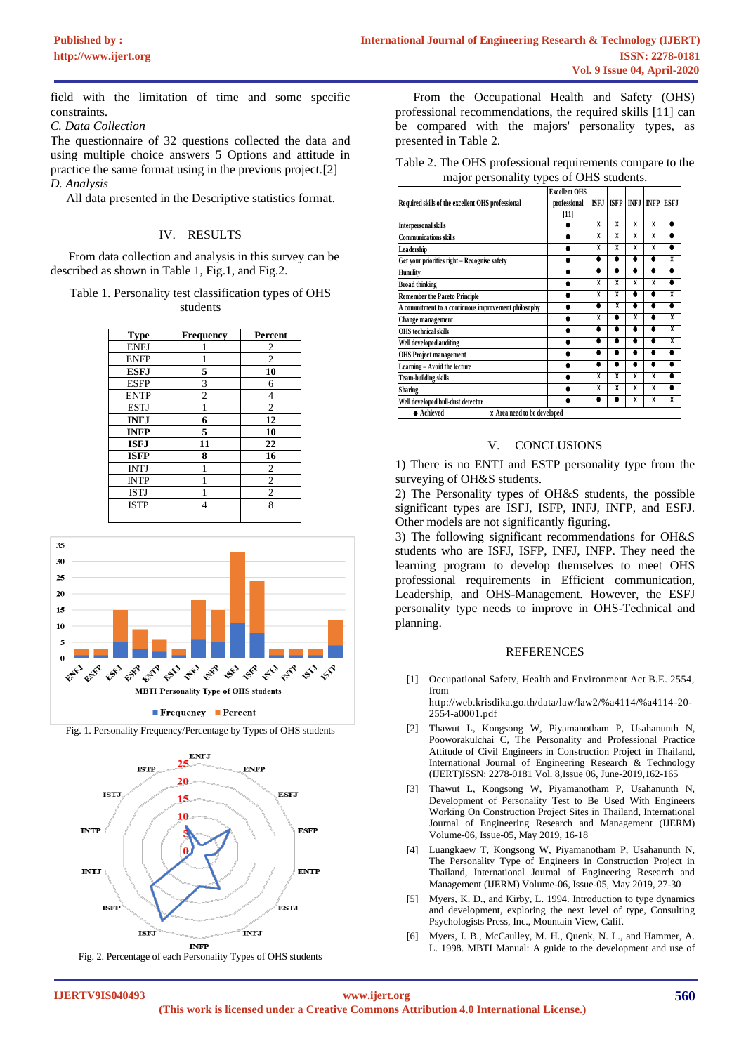field with the limitation of time and some specific constraints.

*C. Data Collection*

The questionnaire of 32 questions collected the data and using multiple choice answers 5 Options and attitude in practice the same format using in the previous project.[2] *D. Analysis*

All data presented in the Descriptive statistics format.

#### IV. RESULTS

From data collection and analysis in this survey can be described as shown in Table 1, Fig.1, and Fig.2.

Table 1. Personality test classification types of OHS students

| <b>Type</b> | <b>Frequency</b> | Percent        |  |  |
|-------------|------------------|----------------|--|--|
| <b>ENFJ</b> |                  | 2              |  |  |
| <b>ENFP</b> |                  | $\overline{2}$ |  |  |
| <b>ESFJ</b> | 5                | 10             |  |  |
| <b>ESFP</b> | 3                | 6              |  |  |
| <b>ENTP</b> | $\overline{c}$   | 4              |  |  |
| <b>ESTJ</b> |                  | $\overline{c}$ |  |  |
| <b>INFJ</b> | 6                | 12             |  |  |
| <b>INFP</b> | 5                | 10             |  |  |
| <b>ISFJ</b> | 11               | 22             |  |  |
| <b>ISFP</b> | 8                | 16             |  |  |
| <b>INTJ</b> |                  | $\overline{2}$ |  |  |
| <b>INTP</b> |                  | $\overline{2}$ |  |  |
| <b>ISTJ</b> |                  | $\mathfrak{2}$ |  |  |
| <b>ISTP</b> | 4                | 8              |  |  |
|             |                  |                |  |  |



Fig. 1. Personality Frequency/Percentage by Types of OHS students



Fig. 2. Percentage of each Personality Types of OHS students

From the Occupational Health and Safety (OHS) professional recommendations, the required skills [11] can be compared with the majors' personality types, as presented in Table 2.

Table 2. The OHS professional requirements compare to the major personality types of OHS students.

|                                                     | <b>Excellent OHS</b> |                         |                         |                         |                         |                         |
|-----------------------------------------------------|----------------------|-------------------------|-------------------------|-------------------------|-------------------------|-------------------------|
| Required skills of the excellent OHS professional   | professional         | ISF.I                   | <b>ISFP</b>             |                         | <b>INF.I INFP ESE.I</b> |                         |
|                                                     | $[11]$               |                         |                         |                         |                         |                         |
| Interpersonal skills                                |                      | x                       | X                       | X                       | X                       | ٠                       |
| <b>Communications skills</b>                        |                      | $\overline{\mathsf{x}}$ | $\overline{\mathbf{x}}$ | $\overline{\mathsf{x}}$ | $\overline{\mathbf{x}}$ | ٠                       |
| Leadership                                          |                      | $\overline{\mathbf{x}}$ | $\overline{\mathbf{x}}$ | $\overline{\mathbf{x}}$ | $\overline{\mathbf{x}}$ | ٠                       |
| Get vour priorities right – Recognise safety        |                      | ٠                       | ٠                       | ٠                       |                         | $\overline{\mathbf{x}}$ |
| Humility                                            |                      | ٠                       | ٠                       | ٠                       |                         | ٠                       |
| <b>Broad thinking</b>                               |                      | x                       | $\overline{\mathsf{x}}$ | $\overline{\mathsf{x}}$ | $\overline{\mathsf{x}}$ | ٠                       |
| <b>Remember the Pareto Principle</b>                |                      | $\overline{\mathsf{x}}$ | x                       | ۸                       |                         | $\overline{\mathsf{x}}$ |
| A commitment to a continuous improvement philosophy |                      | ٠                       | X                       | ٠                       |                         | ٠                       |
| Change management                                   |                      | X                       | ٠                       | X                       |                         | X                       |
| <b>OHS</b> technical skills                         |                      | ٠                       | ٠                       | ٠                       |                         | X                       |
| Well developed auditing                             |                      |                         | h                       |                         |                         | X                       |
| <b>OHS Project management</b>                       |                      | ٠                       | ٠                       |                         |                         | ٠                       |
| Learning - Avoid the lecture                        |                      | ٠                       | ٠                       | ٠                       |                         | ٠                       |
| Team-building skills                                |                      | X                       | X                       | $\overline{\mathbf{x}}$ | X                       | ٠                       |
| <b>Sharing</b>                                      |                      | X                       | X                       | $\overline{\mathsf{x}}$ | $\overline{\mathbf{x}}$ | ٠                       |
| Well developed bull-dust detector                   |                      |                         |                         | $\overline{\mathsf{x}}$ | $\overline{\mathsf{x}}$ | $\overline{\mathsf{x}}$ |
| • Achieved<br>X Area need to be developed           |                      |                         |                         |                         |                         |                         |

#### V. CONCLUSIONS

1) There is no ENTJ and ESTP personality type from the surveying of OH&S students.

2) The Personality types of OH&S students, the possible significant types are ISFJ, ISFP, INFJ, INFP, and ESFJ. Other models are not significantly figuring.

3) The following significant recommendations for OH&S students who are ISFJ, ISFP, INFJ, INFP. They need the learning program to develop themselves to meet OHS professional requirements in Efficient communication, Leadership, and OHS-Management. However, the ESFJ personality type needs to improve in OHS-Technical and planning.

#### REFERENCES

[1] Occupational Safety, Health and Environment Act B.E. 2554, from

http://web.krisdika.go.th/data/law/law2/%a4114/%a4114-20- 2554-a0001.pdf

- [2] Thawut L, Kongsong W, Piyamanotham P, Usahanunth N, Pooworakulchai C, The Personality and Professional Practice Attitude of Civil Engineers in Construction Project in Thailand, International Journal of Engineering Research & Technology (IJERT)ISSN: 2278-0181 Vol. 8,Issue 06, June-2019,162-165
- [3] Thawut L, Kongsong W, Piyamanotham P, Usahanunth N, Development of Personality Test to Be Used With Engineers Working On Construction Project Sites in Thailand, International Journal of Engineering Research and Management (IJERM) Volume-06, Issue-05, May 2019, 16-18
- [4] Luangkaew T, Kongsong W, Piyamanotham P, Usahanunth N, The Personality Type of Engineers in Construction Project in Thailand, International Journal of Engineering Research and Management (IJERM) Volume-06, Issue-05, May 2019, 27-30
- [5] Myers, K. D., and Kirby, L. 1994. Introduction to type dynamics and development, exploring the next level of type, Consulting Psychologists Press, Inc., Mountain View, Calif.
- Myers, I. B., McCaulley, M. H., Quenk, N. L., and Hammer, A. L. 1998. MBTI Manual: A guide to the development and use of